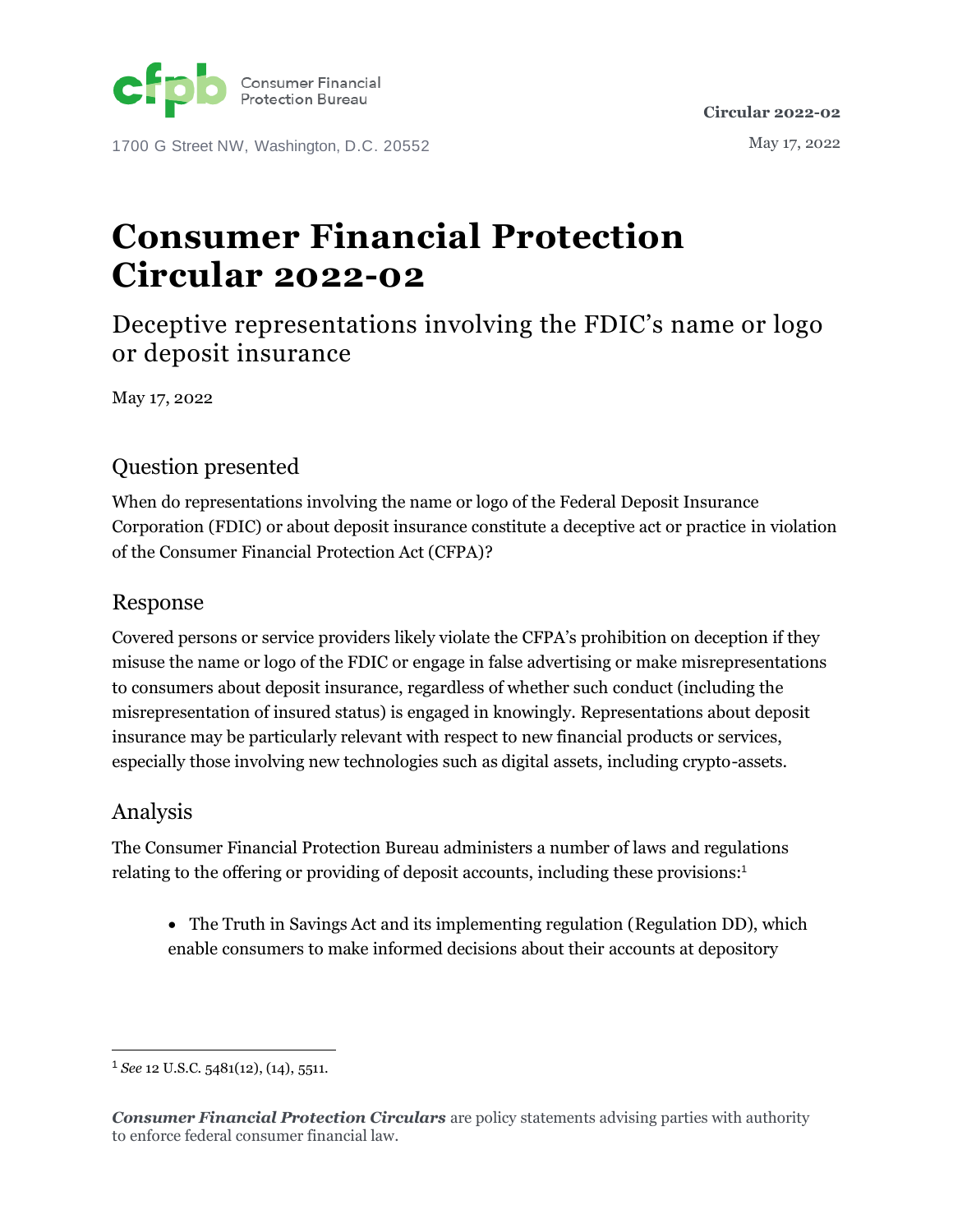

1700 G Street NW, Washington, D.C. 20552

# **Consumer Financial Protection Circular 2022-02**

Deceptive representations involving the FDIC's name or logo or deposit insurance

May 17, 2022

### Question presented

When do representations involving the name or logo of the Federal Deposit Insurance Corporation (FDIC) or about deposit insurance constitute a deceptive act or practice in violation of the Consumer Financial Protection Act (CFPA)?

#### Response

Covered persons or service providers likely violate the CFPA's prohibition on deception if they misuse the name or logo of the FDIC or engage in false advertising or make misrepresentations to consumers about deposit insurance, regardless of whether such conduct (including the misrepresentation of insured status) is engaged in knowingly. Representations about deposit insurance may be particularly relevant with respect to new financial products or services, especially those involving new technologies such as digital assets, including crypto-assets.

#### Analysis

The Consumer Financial Protection Bureau administers a number of laws and regulations relating to the offering or providing of deposit accounts, including these provisions: 1

• The Truth in Savings Act and its implementing regulation (Regulation DD), which enable consumers to make informed decisions about their accounts at depository

<sup>1</sup> *See* 12 U.S.C. 5481(12), (14), 5511.

*Consumer Financial Protection Circulars* are policy statements advising parties with authority to enforce federal consumer financial law.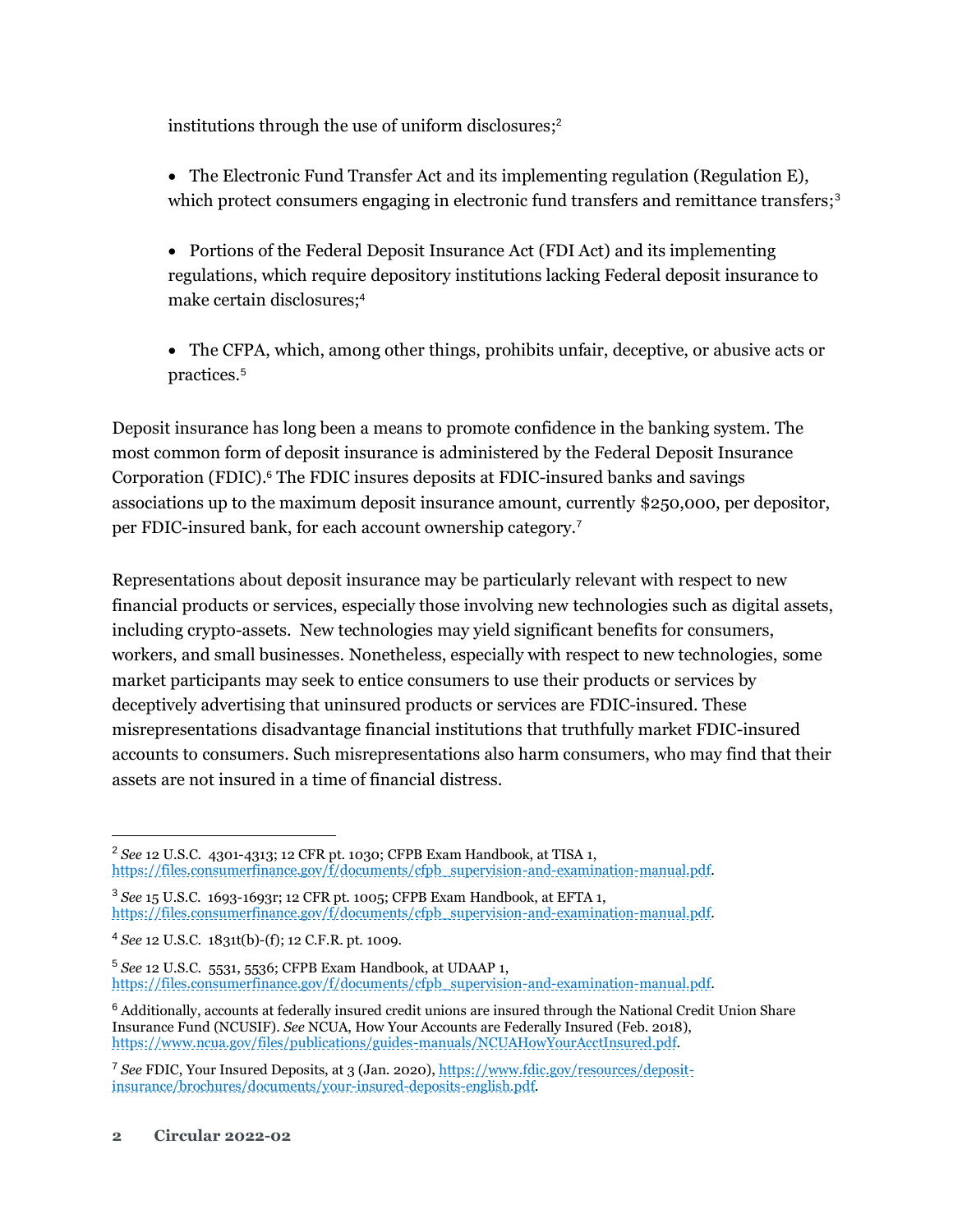institutions through the use of uniform disclosures; 2

- The Electronic Fund Transfer Act and its implementing regulation (Regulation E), which protect consumers engaging in electronic fund transfers and remittance transfers;<sup>3</sup>
- Portions of the Federal Deposit Insurance Act (FDI Act) and its implementing regulations, which require depository institutions lacking Federal deposit insurance to make certain disclosures;<sup>4</sup>
- The CFPA, which, among other things, prohibits unfair, deceptive, or abusive acts or practices.<sup>5</sup>

Deposit insurance has long been a means to promote confidence in the banking system. The most common form of deposit insurance is administered by the Federal Deposit Insurance Corporation (FDIC). $6$  The FDIC insures deposits at FDIC-insured banks and savings associations up to the maximum deposit insurance amount, currently \$250,000, per depositor, per FDIC-insured bank, for each account ownership category.<sup>7</sup>

Representations about deposit insurance may be particularly relevant with respect to new financial products or services, especially those involving new technologies such as digital assets, including crypto-assets. New technologies may yield significant benefits for consumers, workers, and small businesses. Nonetheless, especially with respect to new technologies, some market participants may seek to entice consumers to use their products or services by deceptively advertising that uninsured products or services are FDIC-insured. These misrepresentations disadvantage financial institutions that truthfully market FDIC-insured accounts to consumers. Such misrepresentations also harm consumers, who may find that their assets are not insured in a time of financial distress.

<sup>2</sup> *See* 12 U.S.C. 4301-4313; 12 CFR pt. 1030; CFPB Exam Handbook, at TISA 1, [https://files.consumerfinance.gov/f/documents/cfpb\\_supervision-and-examination-manual.pdf.](https://files.consumerfinance.gov/f/documents/cfpb_supervision-and-examination-manual.pdf)

<sup>3</sup> *See* 15 U.S.C. 1693-1693r; 12 CFR pt. 1005; CFPB Exam Handbook, at EFTA 1, [https://files.consumerfinance.gov/f/documents/cfpb\\_supervision-and-examination-manual.pdf.](https://files.consumerfinance.gov/f/documents/cfpb_supervision-and-examination-manual.pdf)

<sup>4</sup> *See* 12 U.S.C. 1831t(b)-(f); 12 C.F.R. pt. 1009.

<sup>5</sup> *See* 12 U.S.C. 5531, 5536; CFPB Exam Handbook, at UDAAP 1, [https://files.consumerfinance.gov/f/documents/cfpb\\_supervision-and-examination-manual.pdf.](https://files.consumerfinance.gov/f/documents/cfpb_supervision-and-examination-manual.pdf)

<sup>6</sup> Additionally, accounts at federally insured credit unions are insured through the National Credit Union Share Insurance Fund (NCUSIF). *See* NCUA, How Your Accounts are Federally Insured (Feb. 2018), [https://www.ncua.gov/files/publications/guides-manuals/NCUAHowYourAcctInsured.pdf.](https://www.ncua.gov/files/publications/guides-manuals/NCUAHowYourAcctInsured.pdf)

<sup>7</sup> *See* FDIC, Your Insured Deposits, at 3 (Jan. 2020), [https://www.fdic.gov/resources/deposit](https://www.fdic.gov/resources/deposit-insurance/brochures/documents/your-insured-deposits-english.pdf)[insurance/brochures/documents/your-insured-deposits-english.pdf.](https://www.fdic.gov/resources/deposit-insurance/brochures/documents/your-insured-deposits-english.pdf)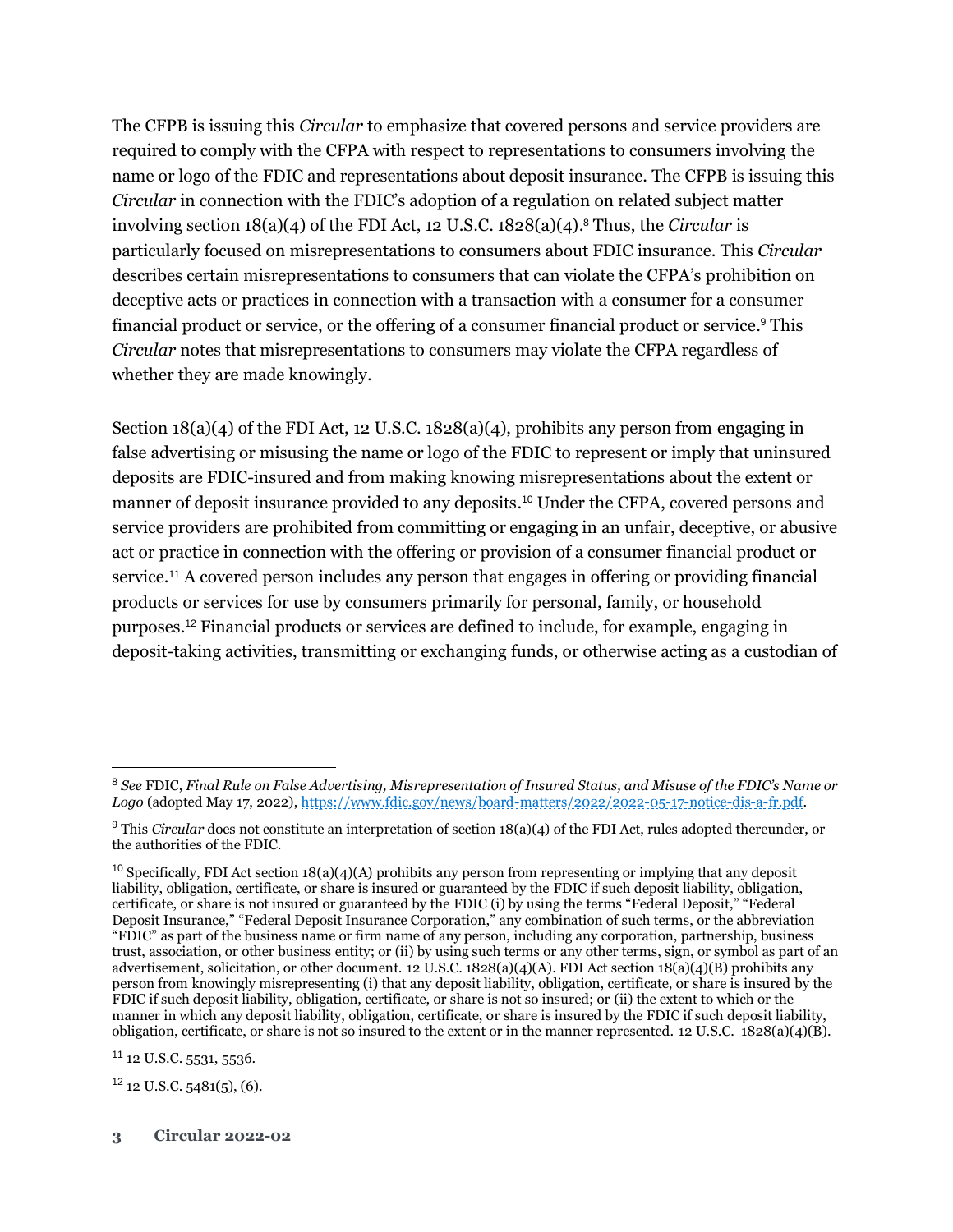The CFPB is issuing this *Circular* to emphasize that covered persons and service providers are required to comply with the CFPA with respect to representations to consumers involving the name or logo of the FDIC and representations about deposit insurance. The CFPB is issuing this *Circular* in connection with the FDIC's adoption of a regulation on related subject matter involving section 18(a)(4) of the FDI Act, 12 U.S.C. 1828(a)(4). <sup>8</sup> Thus, the *Circular* is particularly focused on misrepresentations to consumers about FDIC insurance. This *Circular* describes certain misrepresentations to consumers that can violate the CFPA's prohibition on deceptive acts or practices in connection with a transaction with a consumer for a consumer financial product or service, or the offering of a consumer financial product or service. <sup>9</sup> This *Circular* notes that misrepresentations to consumers may violate the CFPA regardless of whether they are made knowingly.

Section  $18(a)(4)$  of the FDI Act, 12 U.S.C.  $1828(a)(4)$ , prohibits any person from engaging in false advertising or misusing the name or logo of the FDIC to represent or imply that uninsured deposits are FDIC-insured and from making knowing misrepresentations about the extent or manner of deposit insurance provided to any deposits. <sup>10</sup> Under the CFPA, covered persons and service providers are prohibited from committing or engaging in an unfair, deceptive, or abusive act or practice in connection with the offering or provision of a consumer financial product or service. <sup>11</sup> A covered person includes any person that engages in offering or providing financial products or services for use by consumers primarily for personal, family, or household purposes. <sup>12</sup> Financial products or services are defined to include, for example, engaging in deposit-taking activities, transmitting or exchanging funds, or otherwise acting as a custodian of

<sup>11</sup> 12 U.S.C. 5531, 5536.

 $12$  12 U.S.C.  $5481(5)$ , (6).

<sup>8</sup> *See* FDIC, *Final Rule on False Advertising, Misrepresentation of Insured Status, and Misuse of the FDIC's Name or Logo* (adopted May 17, 2022), [https://www.fdic.gov/news/board-matters/2022/2022-05-17-notice-dis-a-fr.pdf.](https://www.fdic.gov/news/board-matters/2022/2022-05-17-notice-dis-a-fr.pdf)

<sup>&</sup>lt;sup>9</sup> This *Circular* does not constitute an interpretation of section 18(a)(4) of the FDI Act, rules adopted thereunder, or the authorities of the FDIC.

<sup>&</sup>lt;sup>10</sup> Specifically, FDI Act section  $18(a)(4)(A)$  prohibits any person from representing or implying that any deposit liability, obligation, certificate, or share is insured or guaranteed by the FDIC if such deposit liability, obligation, certificate, or share is not insured or guaranteed by the FDIC (i) by using the terms "Federal Deposit," "Federal Deposit Insurance," "Federal Deposit Insurance Corporation," any combination of such terms, or the abbreviation "FDIC" as part of the business name or firm name of any person, including any corporation, partnership, business trust, association, or other business entity; or (ii) by using such terms or any other terms, sign, or symbol as part of an advertisement, solicitation, or other document. 12 U.S.C. 1828(a)(4)(A). FDI Act section 18(a)(4)(B) prohibits any person from knowingly misrepresenting (i) that any deposit liability, obligation, certificate, or share is insured by the FDIC if such deposit liability, obligation, certificate, or share is not so insured; or (ii) the extent to which or the manner in which any deposit liability, obligation, certificate, or share is insured by the FDIC if such deposit liability, obligation, certificate, or share is not so insured to the extent or in the manner represented. 12 U.S.C.  $1828(a)(4)(B)$ .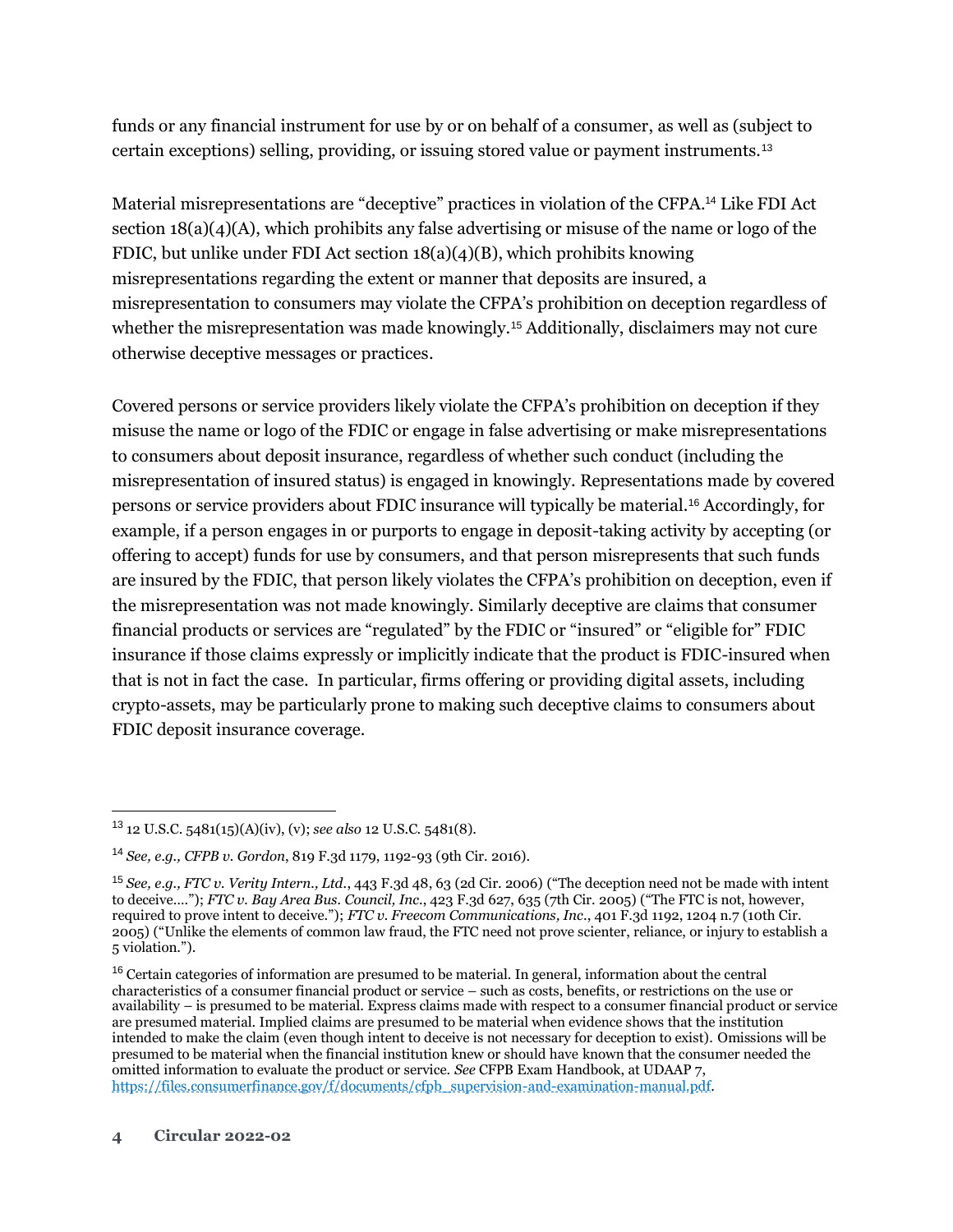funds or any financial instrument for use by or on behalf of a consumer, as well as (subject to certain exceptions) selling, providing, or issuing stored value or payment instruments.<sup>13</sup>

Material misrepresentations are "deceptive" practices in violation of the CFPA.<sup>14</sup> Like FDI Act section 18(a)(4)(A), which prohibits any false advertising or misuse of the name or logo of the FDIC, but unlike under FDI Act section 18(a)(4)(B), which prohibits knowing misrepresentations regarding the extent or manner that deposits are insured, a misrepresentation to consumers may violate the CFPA's prohibition on deception regardless of whether the misrepresentation was made knowingly.<sup>15</sup> Additionally, disclaimers may not cure otherwise deceptive messages or practices.

Covered persons or service providers likely violate the CFPA's prohibition on deception if they misuse the name or logo of the FDIC or engage in false advertising or make misrepresentations to consumers about deposit insurance, regardless of whether such conduct (including the misrepresentation of insured status) is engaged in knowingly. Representations made by covered persons or service providers about FDIC insurance will typically be material.<sup>16</sup> Accordingly, for example, if a person engages in or purports to engage in deposit-taking activity by accepting (or offering to accept) funds for use by consumers, and that person misrepresents that such funds are insured by the FDIC, that person likely violates the CFPA's prohibition on deception, even if the misrepresentation was not made knowingly. Similarly deceptive are claims that consumer financial products or services are "regulated" by the FDIC or "insured" or "eligible for" FDIC insurance if those claims expressly or implicitly indicate that the product is FDIC-insured when that is not in fact the case. In particular, firms offering or providing digital assets, including crypto-assets, may be particularly prone to making such deceptive claims to consumers about FDIC deposit insurance coverage.

<sup>13</sup> 12 U.S.C. 5481(15)(A)(iv), (v); *see also* 12 U.S.C. 5481(8).

<sup>14</sup> *See, e.g., CFPB v. Gordon*, 819 F.3d 1179, 1192-93 (9th Cir. 2016).

<sup>15</sup> *See, e.g., FTC v. Verity Intern., Ltd.*, 443 F.3d 48, 63 (2d Cir. 2006) ("The deception need not be made with intent to deceive…."); *FTC v. Bay Area Bus. Council, Inc*., 423 F.3d 627, 635 (7th Cir. 2005) ("The FTC is not, however, required to prove intent to deceive."); *FTC v. Freecom Communications, Inc*., 401 F.3d 1192, 1204 n.7 (10th Cir. 2005) ("Unlike the elements of common law fraud, the FTC need not prove scienter, reliance, or injury to establish a 5 violation.").

<sup>&</sup>lt;sup>16</sup> Certain categories of information are presumed to be material. In general, information about the central characteristics of a consumer financial product or service – such as costs, benefits, or restrictions on the use or availability – is presumed to be material. Express claims made with respect to a consumer financial product or service are presumed material. Implied claims are presumed to be material when evidence shows that the institution intended to make the claim (even though intent to deceive is not necessary for deception to exist). Omissions will be presumed to be material when the financial institution knew or should have known that the consumer needed the omitted information to evaluate the product or service. *See* CFPB Exam Handbook, at UDAAP 7, [https://files.consumerfinance.gov/f/documents/cfpb\\_supervision-and-examination-manual.pdf.](https://files.consumerfinance.gov/f/documents/cfpb_supervision-and-examination-manual.pdf)